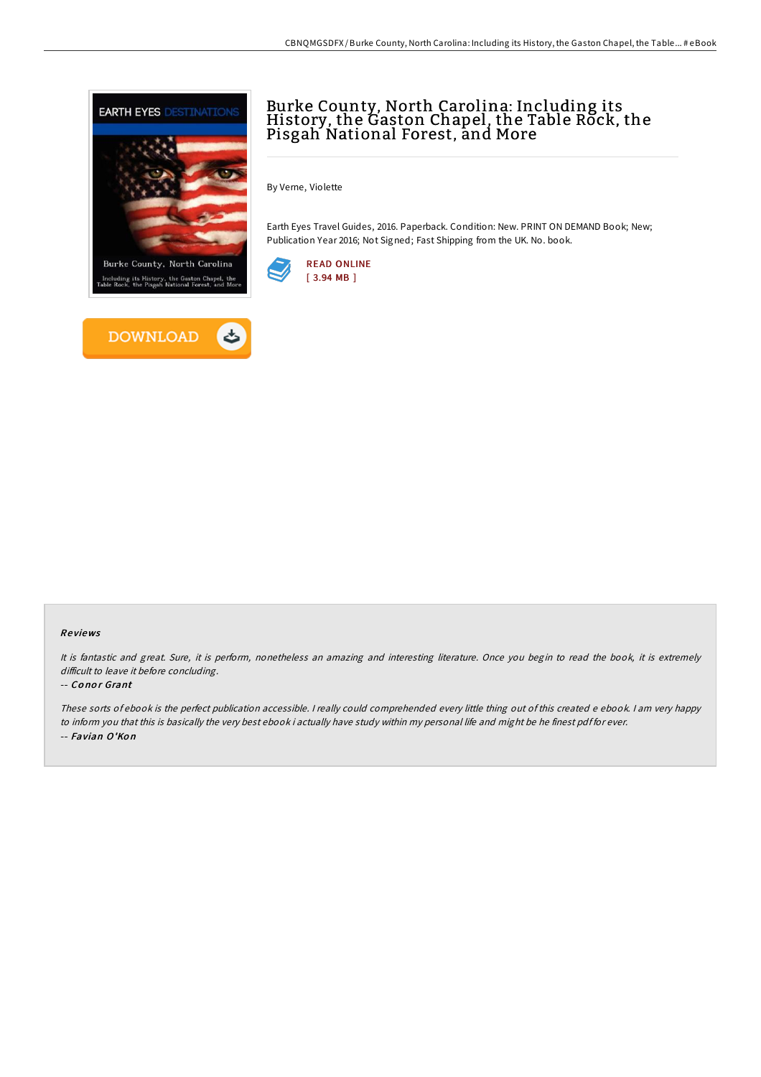



# Burke County, North Carolina: Including its History, the Gaston Chapel, the Table Rock, the Pisgah National Forest, and More

By Verne, Violette

Earth Eyes Travel Guides, 2016. Paperback. Condition: New. PRINT ON DEMAND Book; New; Publication Year 2016; Not Signed; Fast Shipping from the UK. No. book.



### Re views

It is fantastic and great. Sure, it is perform, nonetheless an amazing and interesting literature. Once you begin to read the book, it is extremely difficult to leave it before concluding.

#### -- Conor Grant

These sorts of ebook is the perfect publication accessible. <sup>I</sup> really could comprehended every little thing out of this created <sup>e</sup> ebook. <sup>I</sup> am very happy to inform you that this is basically the very best ebook i actually have study within my personal life and might be he finest pdf for ever. -- Favian O'Ko n